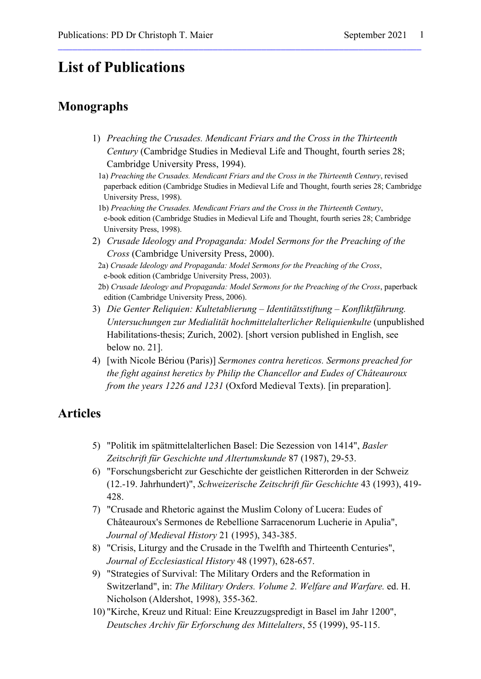# **List of Publications**

# **Monographs**

1) *Preaching the Crusades. Mendicant Friars and the Cross in the Thirteenth Century* (Cambridge Studies in Medieval Life and Thought, fourth series 28; Cambridge University Press, 1994).

\_\_\_\_\_\_\_\_\_\_\_\_\_\_\_\_\_\_\_\_\_\_\_\_\_\_\_\_\_\_\_\_\_\_\_\_\_\_\_\_\_\_\_\_\_\_\_\_\_\_\_\_\_\_\_\_\_\_\_\_\_\_\_\_\_\_\_\_\_\_\_\_\_\_\_

- 1a) *Preaching the Crusades. Mendicant Friars and the Cross in the Thirteenth Century*, revised paperback edition (Cambridge Studies in Medieval Life and Thought, fourth series 28; Cambridge University Press, 1998).
- 1b) *Preaching the Crusades. Mendicant Friars and the Cross in the Thirteenth Century*, e-book edition (Cambridge Studies in Medieval Life and Thought, fourth series 28; Cambridge University Press, 1998).
- 2) *Crusade Ideology and Propaganda: Model Sermons for the Preaching of the Cross* (Cambridge University Press, 2000).
	- 2a) *Crusade Ideology and Propaganda: Model Sermons for the Preaching of the Cross*, e-book edition (Cambridge University Press, 2003).
	- 2b) *Crusade Ideology and Propaganda: Model Sermons for the Preaching of the Cross*, paperback edition (Cambridge University Press, 2006).
- 3) *Die Genter Reliquien: Kultetablierung – Identitätsstiftung – Konfliktführung. Untersuchungen zur Medialität hochmittelalterlicher Reliquienkulte* (unpublished Habilitations-thesis; Zurich, 2002). [short version published in English, see below no. 21].
- 4) [with Nicole Bériou (Paris)] *Sermones contra hereticos. Sermons preached for the fight against heretics by Philip the Chancellor and Eudes of Châteauroux from the years 1226 and 1231* (Oxford Medieval Texts). [in preparation].

## **Articles**

- 5) "Politik im spätmittelalterlichen Basel: Die Sezession von 1414", *Basler Zeitschrift für Geschichte und Altertumskunde* 87 (1987), 29-53.
- 6) "Forschungsbericht zur Geschichte der geistlichen Ritterorden in der Schweiz (12.-19. Jahrhundert)", *Schweizerische Zeitschrift für Geschichte* 43 (1993), 419- 428.
- 7) "Crusade and Rhetoric against the Muslim Colony of Lucera: Eudes of Châteauroux's Sermones de Rebellione Sarracenorum Lucherie in Apulia", *Journal of Medieval History* 21 (1995), 343-385.
- 8) "Crisis, Liturgy and the Crusade in the Twelfth and Thirteenth Centuries", *Journal of Ecclesiastical History* 48 (1997), 628-657.
- 9) "Strategies of Survival: The Military Orders and the Reformation in Switzerland", in: *The Military Orders. Volume 2. Welfare and Warfare.* ed. H. Nicholson (Aldershot, 1998), 355-362.
- 10) "Kirche, Kreuz und Ritual: Eine Kreuzzugspredigt in Basel im Jahr 1200", *Deutsches Archiv für Erforschung des Mittelalters*, 55 (1999), 95-115.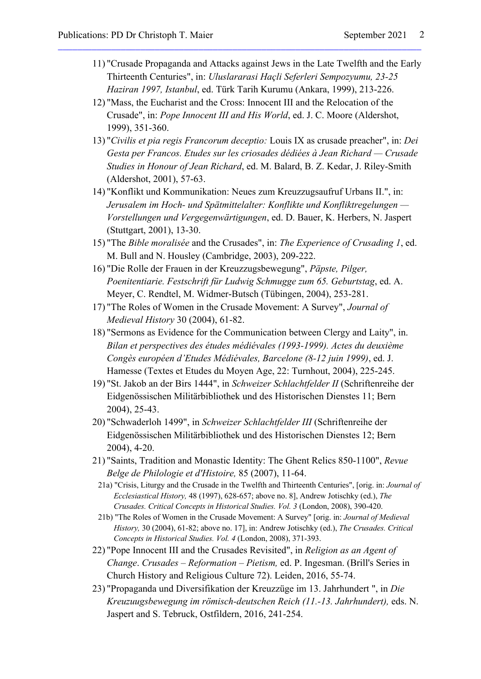- 11) "Crusade Propaganda and Attacks against Jews in the Late Twelfth and the Early Thirteenth Centuries", in: *Uluslararasi Haçli Seferleri Sempozyumu, 23-25 Haziran 1997, Istanbul*, ed. Türk Tarih Kurumu (Ankara, 1999), 213-226.
- 12) "Mass, the Eucharist and the Cross: Innocent III and the Relocation of the Crusade", in: *Pope Innocent III and His World*, ed. J. C. Moore (Aldershot, 1999), 351-360.

\_\_\_\_\_\_\_\_\_\_\_\_\_\_\_\_\_\_\_\_\_\_\_\_\_\_\_\_\_\_\_\_\_\_\_\_\_\_\_\_\_\_\_\_\_\_\_\_\_\_\_\_\_\_\_\_\_\_\_\_\_\_\_\_\_\_\_\_\_\_\_\_\_\_\_

- 13) "*Civilis et pia regis Francorum deceptio:* Louis IX as crusade preacher", in: *Dei Gesta per Francos. Etudes sur les criosades dédiées à Jean Richard — Crusade Studies in Honour of Jean Richard*, ed. M. Balard, B. Z. Kedar, J. Riley-Smith (Aldershot, 2001), 57-63.
- 14) "Konflikt und Kommunikation: Neues zum Kreuzzugsaufruf Urbans II.", in: *Jerusalem im Hoch- und Spätmittelalter: Konflikte und Konfliktregelungen — Vorstellungen und Vergegenwärtigungen*, ed. D. Bauer, K. Herbers, N. Jaspert (Stuttgart, 2001), 13-30.
- 15) "The *Bible moralisée* and the Crusades", in: *The Experience of Crusading 1*, ed. M. Bull and N. Housley (Cambridge, 2003), 209-222.
- 16) "Die Rolle der Frauen in der Kreuzzugsbewegung", *Päpste, Pilger, Poenitentiarie. Festschrift für Ludwig Schmugge zum 65. Geburtstag*, ed. A. Meyer, C. Rendtel, M. Widmer-Butsch (Tübingen, 2004), 253-281.
- 17) "The Roles of Women in the Crusade Movement: A Survey", *Journal of Medieval History* 30 (2004), 61-82.
- 18) "Sermons as Evidence for the Communication between Clergy and Laity", in. *Bilan et perspectives des études médiévales (1993-1999). Actes du deuxième Congès européen d'Etudes Médiévales, Barcelone (8-12 juin 1999)*, ed. J. Hamesse (Textes et Etudes du Moyen Age, 22: Turnhout, 2004), 225-245.
- 19) "St. Jakob an der Birs 1444", in *Schweizer Schlachtfelder II* (Schriftenreihe der Eidgenössischen Militärbibliothek und des Historischen Dienstes 11; Bern 2004), 25-43.
- 20) "Schwaderloh 1499", in *Schweizer Schlachtfelder III* (Schriftenreihe der Eidgenössischen Militärbibliothek und des Historischen Dienstes 12; Bern 2004), 4-20.
- 21) "Saints, Tradition and Monastic Identity: The Ghent Relics 850-1100", *Revue Belge de Philologie et d'Histoire,* 85 (2007), 11-64.
	- 21a) "Crisis, Liturgy and the Crusade in the Twelfth and Thirteenth Centuries", [orig. in: *Journal of Ecclesiastical History,* 48 (1997), 628-657; above no. 8], Andrew Jotischky (ed.), *The Crusades. Critical Concepts in Historical Studies. Vol. 3* (London, 2008), 390-420.
- 21b) "The Roles of Women in the Crusade Movement: A Survey" [orig. in: *Journal of Medieval History,* 30 (2004), 61-82; above no. 17], in: Andrew Jotischky (ed.), *The Crusades. Critical Concepts in Historical Studies. Vol. 4* (London, 2008), 371-393.
- 22) "Pope Innocent III and the Crusades Revisited", in *Religion as an Agent of Change*. *Crusades – Reformation – Pietism,* ed. P. Ingesman. (Brill's Series in Church History and Religious Culture 72). Leiden, 2016, 55-74.
- 23) "Propaganda und Diversifikation der Kreuzzüge im 13. Jahrhundert ", in *Die Kreuzuugsbewegung im römisch-deutschen Reich (11.-13. Jahrhundert),* eds. N. Jaspert and S. Tebruck, Ostfildern, 2016, 241-254.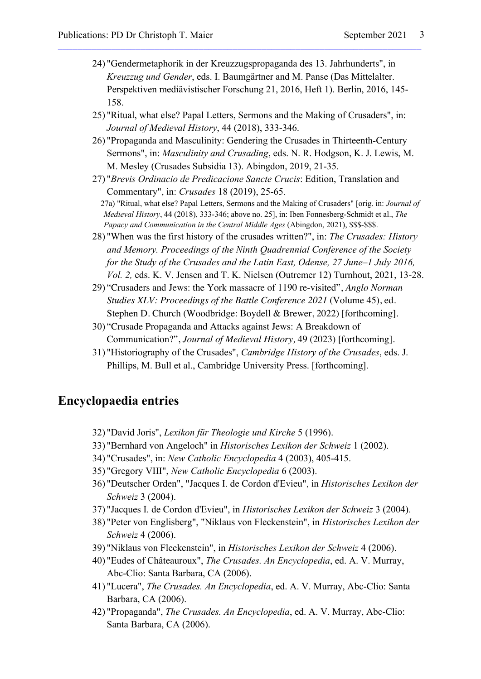24) "Gendermetaphorik in der Kreuzzugspropaganda des 13. Jahrhunderts", in *Kreuzzug und Gender*, eds. I. Baumgärtner and M. Panse (Das Mittelalter. Perspektiven mediävistischer Forschung 21, 2016, Heft 1). Berlin, 2016, 145- 158.

\_\_\_\_\_\_\_\_\_\_\_\_\_\_\_\_\_\_\_\_\_\_\_\_\_\_\_\_\_\_\_\_\_\_\_\_\_\_\_\_\_\_\_\_\_\_\_\_\_\_\_\_\_\_\_\_\_\_\_\_\_\_\_\_\_\_\_\_\_\_\_\_\_\_\_

- 25) "Ritual, what else? Papal Letters, Sermons and the Making of Crusaders", in: *Journal of Medieval History*, 44 (2018), 333-346.
- 26) "Propaganda and Masculinity: Gendering the Crusades in Thirteenth-Century Sermons", in: *Masculinity and Crusading*, eds. N. R. Hodgson, K. J. Lewis, M. M. Mesley (Crusades Subsidia 13). Abingdon, 2019, 21-35.
- 27) "*Brevis Ordinacio de Predicacione Sancte Crucis*: Edition, Translation and Commentary", in: *Crusades* 18 (2019), 25-65.

27a) "Ritual, what else? Papal Letters, Sermons and the Making of Crusaders" [orig. in: *Journal of Medieval History*, 44 (2018), 333-346; above no. 25], in: Iben Fonnesberg-Schmidt et al., *The Papacy and Communication in the Central Middle Ages* (Abingdon, 2021), \$\$\$-\$\$\$.

- 28) "When was the first history of the crusades written?", in: *The Crusades: History and Memory. Proceedings of the Ninth Quadrennial Conference of the Society for the Study of the Crusades and the Latin East, Odense, 27 June–1 July 2016, Vol. 2,* eds. K. V. Jensen and T. K. Nielsen (Outremer 12) Turnhout, 2021, 13-28.
- 29) "Crusaders and Jews: the York massacre of 1190 re-visited", *Anglo Norman Studies XLV: Proceedings of the Battle Conference 2021* (Volume 45), ed. Stephen D. Church (Woodbridge: Boydell & Brewer, 2022) [forthcoming].
- 30) "Crusade Propaganda and Attacks against Jews: A Breakdown of Communication?", *Journal of Medieval History,* 49 (2023) [forthcoming].
- 31) "Historiography of the Crusades", *Cambridge History of the Crusades*, eds. J. Phillips, M. Bull et al., Cambridge University Press. [forthcoming].

#### **Encyclopaedia entries**

- 32) "David Joris", *Lexikon für Theologie und Kirche* 5 (1996).
- 33) "Bernhard von Angeloch" in *Historisches Lexikon der Schweiz* 1 (2002).
- 34) "Crusades", in: *New Catholic Encyclopedia* 4 (2003), 405-415.
- 35) "Gregory VIII", *New Catholic Encyclopedia* 6 (2003).
- 36) "Deutscher Orden", "Jacques I. de Cordon d'Evieu", in *Historisches Lexikon der Schweiz* 3 (2004).
- 37) "Jacques I. de Cordon d'Evieu", in *Historisches Lexikon der Schweiz* 3 (2004).
- 38) "Peter von Englisberg", "Niklaus von Fleckenstein", in *Historisches Lexikon der Schweiz* 4 (2006).
- 39) "Niklaus von Fleckenstein", in *Historisches Lexikon der Schweiz* 4 (2006).
- 40) "Eudes of Châteauroux", *The Crusades. An Encyclopedia*, ed. A. V. Murray, Abc-Clio: Santa Barbara, CA (2006).
- 41) "Lucera", *The Crusades. An Encyclopedia*, ed. A. V. Murray, Abc-Clio: Santa Barbara, CA (2006).
- 42) "Propaganda", *The Crusades. An Encyclopedia*, ed. A. V. Murray, Abc-Clio: Santa Barbara, CA (2006).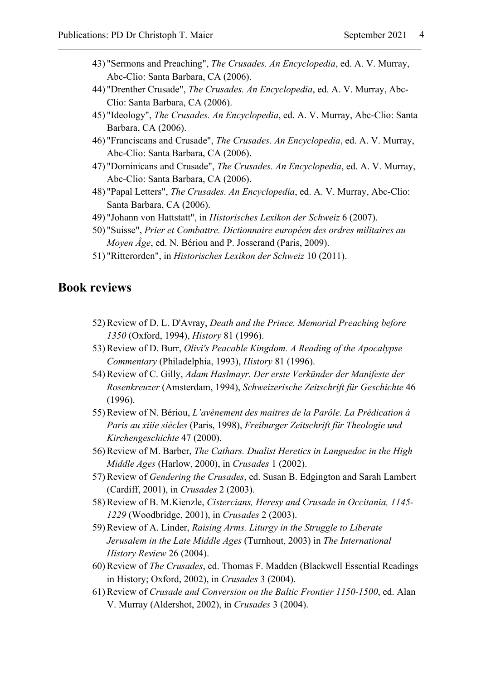43) "Sermons and Preaching", *The Crusades. An Encyclopedia*, ed. A. V. Murray, Abc-Clio: Santa Barbara, CA (2006).

\_\_\_\_\_\_\_\_\_\_\_\_\_\_\_\_\_\_\_\_\_\_\_\_\_\_\_\_\_\_\_\_\_\_\_\_\_\_\_\_\_\_\_\_\_\_\_\_\_\_\_\_\_\_\_\_\_\_\_\_\_\_\_\_\_\_\_\_\_\_\_\_\_\_\_

- 44) "Drenther Crusade", *The Crusades. An Encyclopedia*, ed. A. V. Murray, Abc-Clio: Santa Barbara, CA (2006).
- 45) "Ideology", *The Crusades. An Encyclopedia*, ed. A. V. Murray, Abc-Clio: Santa Barbara, CA (2006).
- 46) "Franciscans and Crusade", *The Crusades. An Encyclopedia*, ed. A. V. Murray, Abc-Clio: Santa Barbara, CA (2006).
- 47) "Dominicans and Crusade", *The Crusades. An Encyclopedia*, ed. A. V. Murray, Abc-Clio: Santa Barbara, CA (2006).
- 48) "Papal Letters", *The Crusades. An Encyclopedia*, ed. A. V. Murray, Abc-Clio: Santa Barbara, CA (2006).
- 49) "Johann von Hattstatt", in *Historisches Lexikon der Schweiz* 6 (2007).
- 50) "Suisse", *Prier et Combattre. Dictionnaire européen des ordres militaires au Moyen Âge*, ed. N. Bériou and P. Josserand (Paris, 2009).
- 51) "Ritterorden", in *Historisches Lexikon der Schweiz* 10 (2011).

### **Book reviews**

- 52) Review of D. L. D'Avray, *Death and the Prince. Memorial Preaching before 1350* (Oxford, 1994), *History* 81 (1996).
- 53) Review of D. Burr, *Olivi's Peacable Kingdom. A Reading of the Apocalypse Commentary* (Philadelphia, 1993), *History* 81 (1996).
- 54) Review of C. Gilly, *Adam Haslmayr. Der erste Verkünder der Manifeste der Rosenkreuzer* (Amsterdam, 1994), *Schweizerische Zeitschrift für Geschichte* 46 (1996).
- 55) Review of N. Bériou, *L'avènement des maitres de la Parôle. La Prédication à Paris au xiiie siècles* (Paris, 1998), *Freiburger Zeitschrift für Theologie und Kirchengeschichte* 47 (2000).
- 56) Review of M. Barber, *The Cathars. Dualist Heretics in Languedoc in the High Middle Ages* (Harlow, 2000), in *Crusades* 1 (2002).
- 57) Review of *Gendering the Crusades*, ed. Susan B. Edgington and Sarah Lambert (Cardiff, 2001), in *Crusades* 2 (2003).
- 58) Review of B. M.Kienzle, *Cistercians, Heresy and Crusade in Occitania, 1145- 1229* (Woodbridge, 2001), in *Crusades* 2 (2003).
- 59) Review of A. Linder, *Raising Arms. Liturgy in the Struggle to Liberate Jerusalem in the Late Middle Ages* (Turnhout, 2003) in *The International History Review* 26 (2004).
- 60) Review of *The Crusades*, ed. Thomas F. Madden (Blackwell Essential Readings in History; Oxford, 2002), in *Crusades* 3 (2004).
- 61) Review of *Crusade and Conversion on the Baltic Frontier 1150-1500*, ed. Alan V. Murray (Aldershot, 2002), in *Crusades* 3 (2004).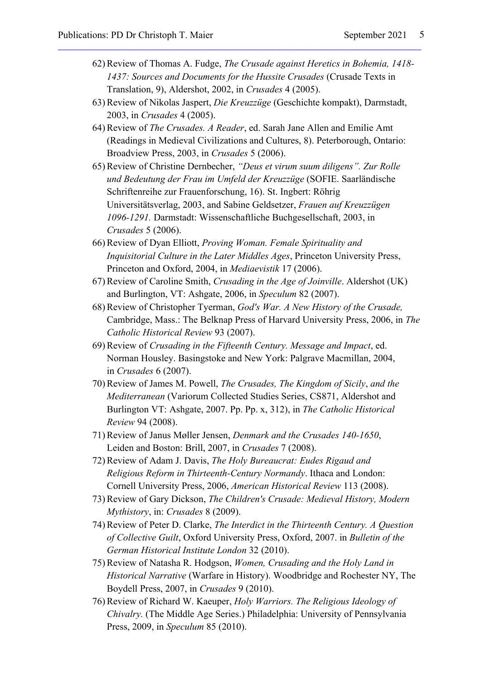62) Review of Thomas A. Fudge, *The Crusade against Heretics in Bohemia, 1418- 1437: Sources and Documents for the Hussite Crusades* (Crusade Texts in Translation, 9), Aldershot, 2002, in *Crusades* 4 (2005).

\_\_\_\_\_\_\_\_\_\_\_\_\_\_\_\_\_\_\_\_\_\_\_\_\_\_\_\_\_\_\_\_\_\_\_\_\_\_\_\_\_\_\_\_\_\_\_\_\_\_\_\_\_\_\_\_\_\_\_\_\_\_\_\_\_\_\_\_\_\_\_\_\_\_\_

- 63) Review of Nikolas Jaspert, *Die Kreuzzüge* (Geschichte kompakt), Darmstadt, 2003, in *Crusades* 4 (2005).
- 64) Review of *The Crusades. A Reader*, ed. Sarah Jane Allen and Emilie Amt (Readings in Medieval Civilizations and Cultures, 8). Peterborough, Ontario: Broadview Press, 2003, in *Crusades* 5 (2006).
- 65) Review of Christine Dernbecher, *"Deus et virum suum diligens". Zur Rolle und Bedeutung der Frau im Umfeld der Kreuzzüge* (SOFIE. Saarländische Schriftenreihe zur Frauenforschung, 16). St. Ingbert: Röhrig Universitätsverlag, 2003, and Sabine Geldsetzer, *Frauen auf Kreuzzügen 1096-1291.* Darmstadt: Wissenschaftliche Buchgesellschaft, 2003, in *Crusades* 5 (2006).
- 66) Review of Dyan Elliott, *Proving Woman. Female Spirituality and Inquisitorial Culture in the Later Middles Ages*, Princeton University Press, Princeton and Oxford, 2004, in *Mediaevistik* 17 (2006).
- 67) Review of Caroline Smith, *Crusading in the Age of Joinville*. Aldershot (UK) and Burlington, VT: Ashgate, 2006, in *Speculum* 82 (2007).
- 68) Review of Christopher Tyerman, *God's War. A New History of the Crusade,*  Cambridge, Mass.: The Belknap Press of Harvard University Press, 2006, in *The Catholic Historical Review* 93 (2007).
- 69) Review of *Crusading in the Fifteenth Century. Message and Impact*, ed. Norman Housley. Basingstoke and New York: Palgrave Macmillan, 2004, in *Crusades* 6 (2007).
- 70) Review of James M. Powell, *The Crusades, The Kingdom of Sicily*, *and the Mediterranean* (Variorum Collected Studies Series, CS871, Aldershot and Burlington VT: Ashgate, 2007. Pp. Pp. x, 312), in *The Catholic Historical Review* 94 (2008).
- 71) Review of Janus Møller Jensen, *Denmark and the Crusades 140-1650*, Leiden and Boston: Brill, 2007, in *Crusades* 7 (2008).
- 72) Review of Adam J. Davis, *The Holy Bureaucrat: Eudes Rigaud and Religious Reform in Thirteenth-Century Normandy*. Ithaca and London: Cornell University Press, 2006, *American Historical Review* 113 (2008).
- 73) Review of Gary Dickson, *The Children's Crusade: Medieval History, Modern Mythistory*, in: *Crusades* 8 (2009).
- 74) Review of Peter D. Clarke, *The Interdict in the Thirteenth Century. A Question of Collective Guilt*, Oxford University Press, Oxford, 2007. in *Bulletin of the German Historical Institute London* 32 (2010).
- 75) Review of Natasha R. Hodgson, *Women, Crusading and the Holy Land in Historical Narrative* (Warfare in History). Woodbridge and Rochester NY, The Boydell Press, 2007, in *Crusades* 9 (2010).
- 76) Review of Richard W. Kaeuper, *Holy Warriors. The Religious Ideology of Chivalry.* (The Middle Age Series.) Philadelphia: University of Pennsylvania Press, 2009, in *Speculum* 85 (2010).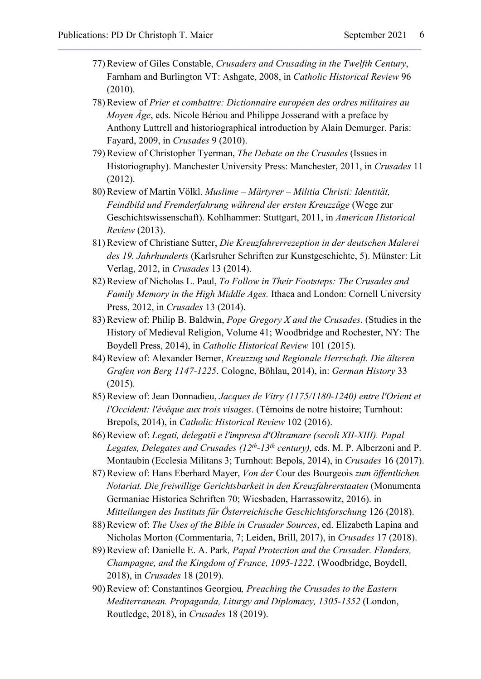77) Review of Giles Constable, *Crusaders and Crusading in the Twelfth Century*, Farnham and Burlington VT: Ashgate, 2008, in *Catholic Historical Review* 96 (2010).

\_\_\_\_\_\_\_\_\_\_\_\_\_\_\_\_\_\_\_\_\_\_\_\_\_\_\_\_\_\_\_\_\_\_\_\_\_\_\_\_\_\_\_\_\_\_\_\_\_\_\_\_\_\_\_\_\_\_\_\_\_\_\_\_\_\_\_\_\_\_\_\_\_\_\_

- 78) Review of *Prier et combattre: Dictionnaire européen des ordres militaires au Moyen Âge*, eds. Nicole Bériou and Philippe Josserand with a preface by Anthony Luttrell and historiographical introduction by Alain Demurger. Paris: Fayard, 2009, in *Crusades* 9 (2010).
- 79) Review of Christopher Tyerman, *The Debate on the Crusades* (Issues in Historiography). Manchester University Press: Manchester, 2011, in *Crusades* 11 (2012).
- 80) Review of Martin Völkl. *Muslime – Märtyrer – Militia Christi: Identität, Feindbild und Fremderfahrung während der ersten Kreuzzüge* (Wege zur Geschichtswissenschaft). Kohlhammer: Stuttgart, 2011, in *American Historical Review* (2013).
- 81) Review of Christiane Sutter, *Die Kreuzfahrerrezeption in der deutschen Malerei des 19. Jahrhunderts* (Karlsruher Schriften zur Kunstgeschichte, 5). Münster: Lit Verlag, 2012, in *Crusades* 13 (2014).
- 82) Review of Nicholas L. Paul, *To Follow in Their Footsteps: The Crusades and Family Memory in the High Middle Ages.* Ithaca and London: Cornell University Press, 2012, in *Crusades* 13 (2014).
- 83) Review of: Philip B. Baldwin, *Pope Gregory X and the Crusades*. (Studies in the History of Medieval Religion, Volume 41; Woodbridge and Rochester, NY: The Boydell Press, 2014), in *Catholic Historical Review* 101 (2015).
- 84) Review of: Alexander Berner, *Kreuzzug und Regionale Herrschaft. Die älteren Grafen von Berg 1147-1225*. Cologne, Böhlau, 2014), in: *German History* 33 (2015).
- 85) Review of: Jean Donnadieu, *Jacques de Vitry (1175/1180-1240) entre l'Orient et l'Occident: l'évêque aux trois visages*. (Témoins de notre histoire; Turnhout: Brepols, 2014), in *Catholic Historical Review* 102 (2016).
- 86) Review of: *Legati, delegatii e l'impresa d'Oltramare (secoli XII-XIII). Papal Legates, Delegates and Crusades (12th-13th century),* eds. M. P. Alberzoni and P. Montaubin (Ecclesia Militans 3; Turnhout: Bepols, 2014), in *Crusades* 16 (2017).
- 87) Review of: Hans Eberhard Mayer, *Von der* Cour des Bourgeois *zum öffentlichen Notariat. Die freiwillige Gerichtsbarkeit in den Kreuzfahrerstaaten* (Monumenta Germaniae Historica Schriften 70; Wiesbaden, Harrassowitz, 2016). in *Mitteilungen des Instituts für Österreichische Geschichtsforschung* 126 (2018).
- 88) Review of: *The Uses of the Bible in Crusader Sources*, ed. Elizabeth Lapina and Nicholas Morton (Commentaria, 7; Leiden, Brill, 2017), in *Crusades* 17 (2018).
- 89) Review of: Danielle E. A. Park*, Papal Protection and the Crusader. Flanders, Champagne, and the Kingdom of France, 1095-1222*. (Woodbridge, Boydell, 2018), in *Crusades* 18 (2019).
- 90) Review of: Constantinos Georgiou*, Preaching the Crusades to the Eastern Mediterranean. Propaganda, Liturgy and Diplomacy, 1305-1352* (London, Routledge, 2018), in *Crusades* 18 (2019).